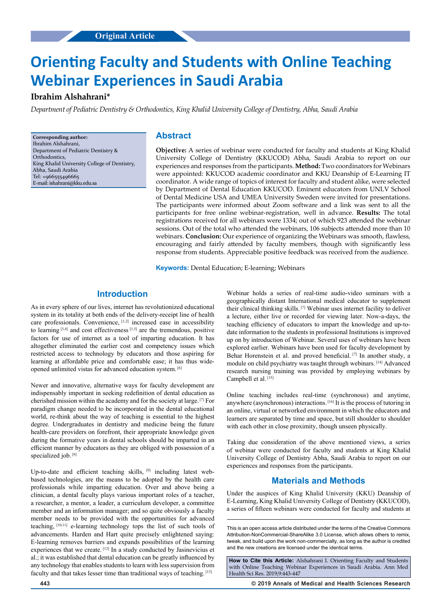# **Original Article Original Article**

# **Orienting Faculty and Students with Online Teaching Webinar Experiences in Saudi Arabia**

# **Ibrahim Alshahrani\***

*Department of Pediatric Dentistry & Orthodontics, King Khalid University College of Dentistry, Abha, Saudi Arabia*

**Corresponding author:** Ibrahim Alshahrani, Department of Pediatric Dentistry & **Orthodontics** King Khalid University College of Dentistry, Abha, Saudi Arabia Tel: +966555496665 E-mail: ishahrani@kku.edu.sa

## **Abstract**

**Objective:** A series of webinar were conducted for faculty and students at King Khalid University College of Dentistry (KKUCOD) Abha, Saudi Arabia to report on our experiences and responses from the participants. **Method:** Two coordinators for Webinars were appointed: KKUCOD academic coordinator and KKU Deanship of E-Learning IT coordinator. A wide range of topics of interest for faculty and student alike, were selected by Department of Dental Education KKUCOD. Eminent educators from UNLV School of Dental Medicine USA and UMEA University Sweden were invited for presentations. The participants were informed about Zoom software and a link was sent to all the participants for free online webinar-registration, well in advance. **Results:** The total registrations received for all webinars were 1334; out of which 923 attended the webinar sessions. Out of the total who attended the webinars, 106 subjects attended more than 10 webinars. **Conclusion:** Our experience of organizing the Webinars was smooth, flawless, encouraging and fairly attended by faculty members, though with significantly less response from students. Appreciable positive feedback was received from the audience.

**Keywords:** Dental Education; E-learning; Webinars

# **Introduction**

As in every sphere of our lives, internet has revolutionized educational system in its totality at both ends of the delivery-receipt line of health care professionals. Convenience, [1,2] increased ease in accessibility to learning  $[3,4]$  and cost effectiveness  $[1,5]$  are the tremendous, positive factors for use of internet as a tool of imparting education. It has altogether eliminated the earlier cost and competency issues which restricted access to technology by educators and those aspiring for learning at affordable price and comfortable ease; it has thus wideopened unlimited vistas for advanced education system. [6]

Newer and innovative, alternative ways for faculty development are indispensably important in seeking redefinition of dental education as cherished mission within the academy and for the society at large. [7] For paradigm change needed to be incorporated in the dental educational world, re-think about the way of teaching is essential to the highest degree. Undergraduates in dentistry and medicine being the future health-care providers on forefront, their appropriate knowledge given during the formative years in dental schools should be imparted in an efficient manner by educators as they are obliged with possession of a specialized job. [8]

Up-to-date and efficient teaching skills, [9] including latest webbased technologies, are the means to be adopted by the health care professionals while imparting education. Over and above being a clinician, a dental faculty plays various important roles of a teacher, a researcher, a mentor, a leader, a curriculum developer, a committee member and an information manager; and so quite obviously a faculty member needs to be provided with the opportunities for advanced teaching, [10,11] e-learning technology tops the list of such tools of advancements. Harden and Hart quite precisely enlightened saying: E-learning removes barriers and expands possibilities of the learning experiences that we create. [12] In a study conducted by Jasinevicius et al.; it was established that dental education can be greatly influenced by any technology that enables students to learn with less supervision from faculty and that takes lesser time than traditional ways of teaching. [13]

Webinar holds a series of real-time audio-video seminars with a geographically distant International medical educator to supplement their clinical thinking skills. [7] Webinar uses internet facility to deliver a lecture, either live or recorded for viewing later. Now-a-days, the teaching efficiency of educators to impart the knowledge and up-todate information to the students in professional Institutions is improved up on by introduction of Webinar. Several uses of webinars have been explored earlier. Webinars have been used for faculty development by Behar Horenstein et al. and proved beneficial. [7] In another study, a module on child psychiatry was taught through webinars. [14] Advanced research nursing training was provided by employing webinars by Campbell et al. [15]

Online teaching includes real-time (synchronous) and anytime, anywhere (asynchronous) interactions. [16] It is the process of tutoring in an online, virtual or networked environment in which the educators and learners are separated by time and space, but still shoulder to shoulder with each other in close proximity, though unseen physically.

Taking due consideration of the above mentioned views, a series of webinar were conducted for faculty and students at King Khalid University College of Dentistry Abha, Saudi Arabia to report on our experiences and responses from the participants.

## **Materials and Methods**

Under the auspices of King Khalid University (KKU) Deanship of E-Learning, King Khalid University College of Dentistry (KKUCOD), a series of fifteen webinars were conducted for faculty and students at

This is an open access article distributed under the terms of the Creative Commons Attribution‑NonCommercial‑ShareAlike 3.0 License, which allows others to remix, tweak, and build upon the work non‑commercially, as long as the author is credited and the new creations are licensed under the identical terms.

**How to Cite this Article:** Alshahrani I. Orienting Faculty and Students with Online Teaching Webinar Experiences in Saudi Arabia. Ann Med Health Sci Res. 2019;9:443-447

**443 © 2019 Annals of Medical and Health Sciences Research**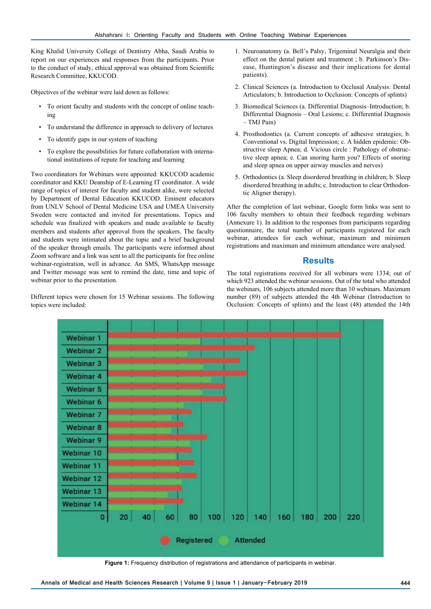King Khalid University College of Dentistry Abha, Saudi Arabia to report on our experiences and responses from the participants. Prior to the conduct of study, ethical approval was obtained from Scientific Research Committee, KKUCOD.

Objectives of the webinar were laid down as follows:

- To orient faculty and students with the concept of online teaching
- To understand the difference in approach to delivery of lectures
- To identify gaps in our system of teaching
- To explore the possibilities for future collaboration with international institutions of repute for teaching and learning

Two coordinators for Webinars were appointed: KKUCOD academic coordinator and KKU Deanship of E-Learning IT coordinator. A wide range of topics of interest for faculty and student alike, were selected by Department of Dental Education KKUCOD. Eminent educators from UNLV School of Dental Medicine USA and UMEA University Sweden were contacted and invited for presentations. Topics and schedule was finalized with speakers and made available to faculty members and students after approval from the speakers. The faculty and students were intimated about the topic and a brief background of the speaker through emails. The participants were informed about Zoom software and a link was sent to all the participants for free online webinar-registration, well in advance. An SMS, WhatsApp message and Twitter message was sent to remind the date, time and topic of webinar prior to the presentation.

Different topics were chosen for 15 Webinar sessions. The following topics were included:

- 1. Neuroanatomy (a. Bell's Palsy, Trigeminal Neuralgia and their effect on the dental patient and treatment ; b. Parkinson's Disease, Huntington's disease and their implications for dental patients).
- 2. Clinical Sciences (a. Introduction to Occlusal Analysis: Dental Articulators; b. Introduction to Occlusion: Concepts of splints)
- 3. Biomedical Sciences (a. Differential Diagnosis–Introduction; b. Differential Diagnosis – Oral Lesions; c. Differential Diagnosis – TMJ Pain)
- 4. Prosthodontics (a. Current concepts of adhesive strategies; b. Conventional vs. Digital Impression; c. A hidden epidemic: Obstructive sleep Apnea; d. Vicious circle : Pathology of obstructive sleep apnea; e. Can snoring harm you? Effects of snoring and sleep apnea on upper airway muscles and nerves)
- 5. Orthodontics (a. Sleep disordered breathing in children; b. Sleep disordered breathing in adults; c. Introduction to clear Orthodontic Aligner therapy).

After the completion of last webinar, Google form links was sent to 106 faculty members to obtain their feedback regarding webinars (Annexure 1). In addition to the responses from participants regarding questionnaire, the total number of participants registered for each webinar, attendees for each webinar, maximum and minimum registrations and maximum and minimum attendance were analysed.

## **Results**

The total registrations received for all webinars were 1334; out of which 923 attended the webinar sessions. Out of the total who attended the webinars, 106 subjects attended more than 10 webinars. Maximum number (89) of subjects attended the 4th Webinar (Introduction to Occlusion: Concepts of splints) and the least (48) attended the 14th



Figure 1: Frequency distribution of registrations and attendance of participants in webinar.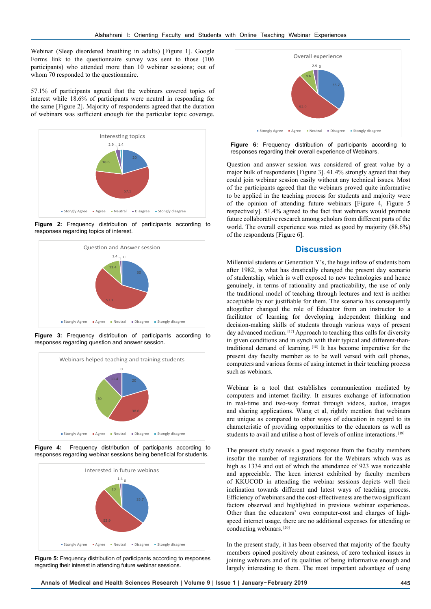Webinar (Sleep disordered breathing in adults) [Figure 1]. Google Forms link to the questionnaire survey was sent to those (106 participants) who attended more than 10 webinar sessions; out of whom 70 responded to the questionnaire.

57.1% of participants agreed that the webinars covered topics of interest while 18.6% of participants were neutral in responding for the same [Figure 2]. Majority of respondents agreed that the duration of webinars was sufficient enough for the particular topic coverage.



**Figure 2:** Frequency distribution of participants according to responses regarding topics of interest.



**Figure 3:** Frequency distribution of participants according to responses regarding question and answer session.



**Figure 4:** Frequency distribution of participants according to responses regarding webinar sessions being beneficial for students.



**Figure 5:** Frequency distribution of participants according to responses regarding their interest in attending future webinar sessions.



**Figure 6:** Frequency distribution of participants according to responses regarding their overall experience of Webinars.

Question and answer session was considered of great value by a major bulk of respondents [Figure 3]. 41.4% strongly agreed that they could join webinar session easily without any technical issues. Most of the participants agreed that the webinars proved quite informative to be applied in the teaching process for students and majority were of the opinion of attending future webinars [Figure 4, Figure 5 respectively]. 51.4% agreed to the fact that webinars would promote future collaborative research among scholars from different parts of the world. The overall experience was rated as good by majority (88.6%) of the respondents [Figure 6].

# **Discussion**

Millennial students or Generation Y's, the huge inflow of students born after 1982, is what has drastically changed the present day scenario of studentship, which is well exposed to new technologies and hence genuinely, in terms of rationality and practicability, the use of only the traditional model of teaching through lectures and text is neither acceptable by nor justifiable for them. The scenario has consequently altogether changed the role of Educator from an instructor to a facilitator of learning for developing independent thinking and decision-making skills of students through various ways of present day advanced medium. [17] Approach to teaching thus calls for diversity in given conditions and in synch with their typical and different-thantraditional demand of learning. [18] It has become imperative for the present day faculty member as to be well versed with cell phones, computers and various forms of using internet in their teaching process such as webinars.

Webinar is a tool that establishes communication mediated by computers and internet facility. It ensures exchange of information in real-time and two-way format through videos, audios, images and sharing applications. Wang et al, rightly mention that webinars are unique as compared to other ways of education in regard to its characteristic of providing opportunities to the educators as well as students to avail and utilise a host of levels of online interactions. [19]

The present study reveals a good response from the faculty members insofar the number of registrations for the Webinars which was as high as 1334 and out of which the attendance of 923 was noticeable and appreciable. The keen interest exhibited by faculty members of KKUCOD in attending the webinar sessions depicts well their inclination towards different and latest ways of teaching process. Efficiency of webinars and the cost-effectiveness are the two significant factors observed and highlighted in previous webinar experiences. Other than the educators' own computer-cost and charges of highspeed internet usage, there are no additional expenses for attending or conducting webinars. [20]

In the present study, it has been observed that majority of the faculty members opined positively about easiness, of zero technical issues in joining webinars and of its qualities of being informative enough and largely interesting to them. The most important advantage of using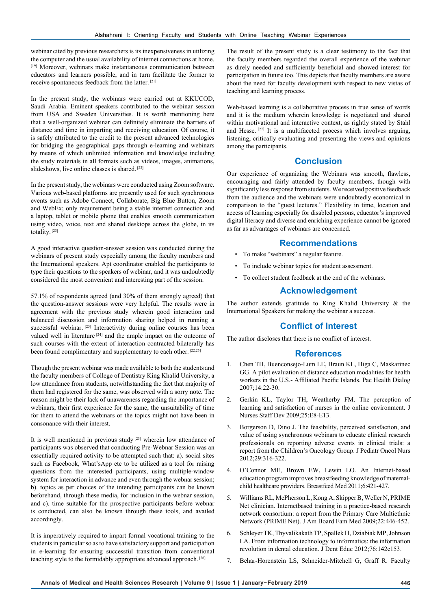webinar cited by previous researchers is its inexpensiveness in utilizing the computer and the usual availability of internet connections at home. [19] Moreover, webinars make instantaneous communication between educators and learners possible, and in turn facilitate the former to receive spontaneous feedback from the latter. [21]

In the present study, the webinars were carried out at KKUCOD, Saudi Arabia. Eminent speakers contributed to the webinar session from USA and Sweden Universities. It is worth mentioning here that a well-organized webinar can definitely eliminate the barriers of distance and time in imparting and receiving education. Of course, it is safely attributed to the credit to the present advanced technologies for bridging the geographical gaps through e-learning and webinars by means of which unlimited information and knowledge including the study materials in all formats such as videos, images, animations, slideshows, live online classes is shared. [22]

In the present study, the webinars were conducted using Zoom software. Various web-based platforms are presently used for such synchronous events such as Adobe Connect, Collaborate, Big Blue Button, Zoom and WebEx; only requirement being a stable internet connection and a laptop, tablet or mobile phone that enables smooth communication using video, voice, text and shared desktops across the globe, in its totality. [23]

A good interactive question-answer session was conducted during the webinars of present study especially among the faculty members and the International speakers. Apt coordinator enabled the participants to type their questions to the speakers of webinar, and it was undoubtedly considered the most convenient and interesting part of the session.

57.1% of respondents agreed (and 30% of them strongly agreed) that the question-answer sessions were very helpful. The results were in agreement with the previous study wherein good interaction and balanced discussion and information sharing helped in running a successful webinar. [23] Interactivity during online courses has been valued well in literature<sup>[24]</sup> and the ample impact on the outcome of such courses with the extent of interaction contracted bilaterally has been found complimentary and supplementary to each other. [22,25]

Though the present webinar was made available to both the students and the faculty members of College of Dentistry King Khalid University, a low attendance from students, notwithstanding the fact that majority of them had registered for the same, was observed with a sorry note. The reason might be their lack of unawareness regarding the importance of webinars, their first experience for the same, the unsuitability of time for them to attend the webinars or the topics might not have been in consonance with their interest.

It is well mentioned in previous study [23] wherein low attendance of participants was observed that conducting Pre-Webnar Session was an essentially required activity to be attempted such that: a). social sites such as Facebook, What'sApp etc to be utilized as a tool for raising questions from the interested participants, using multiple-window system for interaction in advance and even through the webnar session; b). topics as per choices of the intending participants can be known beforehand, through these media, for inclusion in the webnar session, and c). time suitable for the prospective participants before webnar is conducted, can also be known through these tools, and availed accordingly.

It is imperatively required to impart formal vocational training to the students in particular so as to have satisfactory support and participation in e-learning for ensuring successful transition from conventional teaching style to the formidably appropriate advanced approach. [26]

The result of the present study is a clear testimony to the fact that the faculty members regarded the overall experience of the webinar as direly needed and sufficiently beneficial and showed interest for participation in future too. This depicts that faculty members are aware about the need for faculty development with respect to new vistas of teaching and learning process.

Web-based learning is a collaborative process in true sense of words and it is the medium wherein knowledge is negotiated and shared within motivational and interactive context, as rightly stated by Stahl and Hesse. [27] It is a multifaceted process which involves arguing, listening, critically evaluating and presenting the views and opinions among the participants.

## **Conclusion**

Our experience of organizing the Webinars was smooth, flawless, encouraging and fairly attended by faculty members, though with significantly less response from students. We received positive feedback from the audience and the webinars were undoubtedly economical in comparison to the "guest lectures." Flexibility in time, location and access of learning especially for disabled persons, educator's improved digital literacy and diverse and enriching experience cannot be ignored as far as advantages of webinars are concerned.

#### **Recommendations**

- To make "webinars" a regular feature.
- To include webinar topics for student assessment.
- To collect student feedback at the end of the webinars.

# **Acknowledgement**

The author extends gratitude to King Khalid University & the International Speakers for making the webinar a success.

### **Conflict of Interest**

The author discloses that there is no conflict of interest.

#### **References**

- 1. Chen TH, Buenconsejo-Lum LE, Braun KL, Higa C, Maskarinec GG. A pilot evaluation of distance education modalities for health workers in the U.S.- Affiliated Pacific Islands. Pac Health Dialog 2007;14:22-30.
- 2. Gerkin KL, Taylor TH, Weatherby FM. The perception of learning and satisfaction of nurses in the online environment. J Nurses Staff Dev 2009;25:E8-E13.
- 3. Borgerson D, Dino J. The feasibility, perceived satisfaction, and value of using synchronous webinars to educate clinical research professionals on reporting adverse events in clinical trials: a report from the Children's Oncology Group. J Pediatr Oncol Nurs 2012;29:316-322.
- 4. O'Connor ME, Brown EW, Lewin LO. An Internet-based education program improves breastfeeding knowledge of maternalchild healthcare providers. Breastfeed Med 2011;6:421-427.
- 5. Williams RL, McPherson L, Kong A, Skipper B, Weller N, PRIME Net clinician. Internetbased training in a practice-based research network consortium: a report from the Primary Care Multiethnic Network (PRIME Net). J Am Board Fam Med 2009;22:446-452.
- 6. Schleyer TK, Thyvalikakath TP, Spallek H, Dziabiak MP, Johnson LA. From information technology to informatics: the information revolution in dental education. J Dent Educ 2012;76:142e153.
- 7. Behar-Horenstein LS, Schneider-Mitchell G, Graff R. Faculty